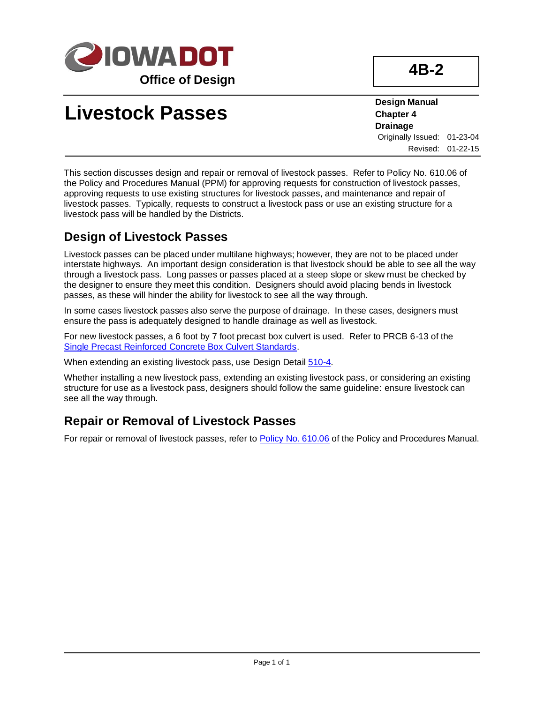

# **Livestock Passes**

**Design Manual Chapter 4 Drainage** Originally Issued: 01-23-04 Revised: 01-22-15

This section discusses design and repair or removal of livestock passes. Refer to Policy No. 610.06 of the Policy and Procedures Manual (PPM) for approving requests for construction of livestock passes, approving requests to use existing structures for livestock passes, and maintenance and repair of livestock passes. Typically, requests to construct a livestock pass or use an existing structure for a livestock pass will be handled by the Districts.

#### **Design of Livestock Passes**

Livestock passes can be placed under multilane highways; however, they are not to be placed under interstate highways. An important design consideration is that livestock should be able to see all the way through a livestock pass. Long passes or passes placed at a steep slope or skew must be checked by the designer to ensure they meet this condition. Designers should avoid placing bends in livestock passes, as these will hinder the ability for livestock to see all the way through.

In some cases livestock passes also serve the purpose of drainage. In these cases, designers must ensure the pass is adequately designed to handle drainage as well as livestock.

For new livestock passes, a 6 foot by 7 foot precast box culvert is used. Refer to PRCB 6-13 of the [Single Precast Reinforced Concrete Box Culvert Standards.](https://iowadot.gov/bridge/standards/english/EnglishSignedPrecastCulverts.pdf)

When extending an existing livestock pass, use Design Detai[l 510-4.](../tnt/PDFsandWebFiles/IndividualPDFs/0510-04.pdf)

Whether installing a new livestock pass, extending an existing livestock pass, or considering an existing structure for use as a livestock pass, designers should follow the same guideline: ensure livestock can see all the way through.

### **Repair or Removal of Livestock Passes**

For repair or removal of livestock passes, refer to [Policy No. 610.06](https://iadot.sharepoint.com/sites/AS/PolicyLegislative/DOT%20Policies%20and%20Procedures/610.06.pdf) of the Policy and Procedures Manual.